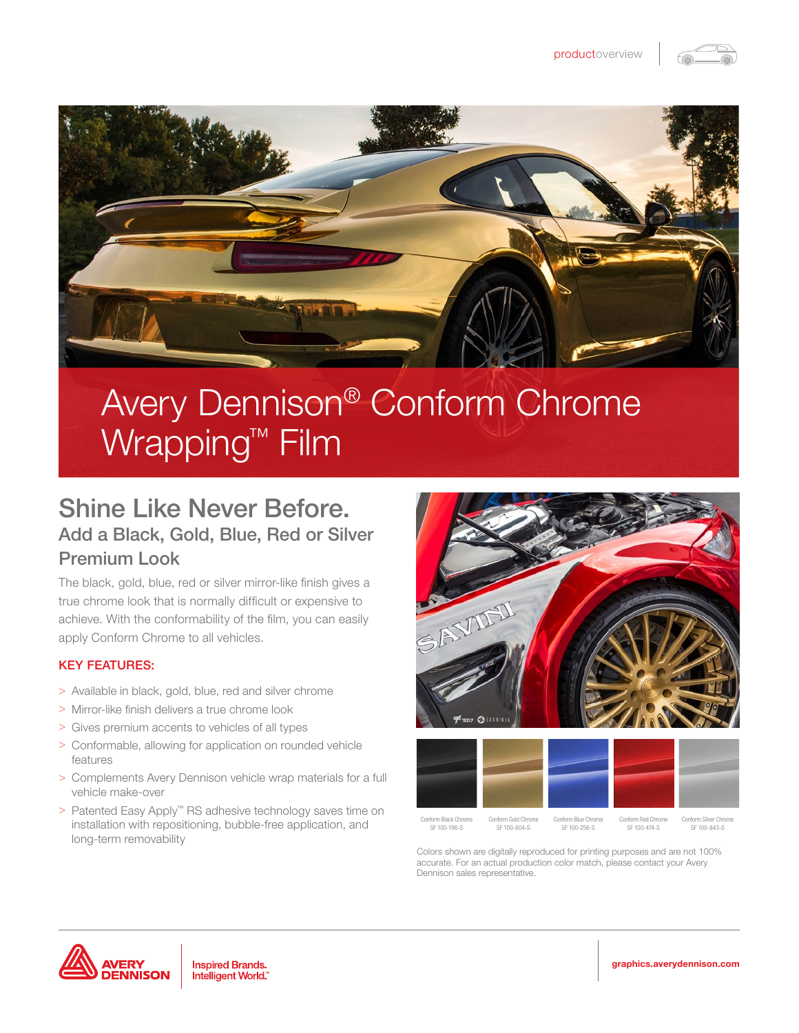



# Avery Dennison® Conform Chrome Wrapping<sup>™</sup> Film

### Shine Like Never Before. Add a Black, Gold, Blue, Red or Silver Premium Look

The black, gold, blue, red or silver mirror-like finish gives a true chrome look that is normally difficult or expensive to achieve. With the conformability of the film, you can easily apply Conform Chrome to all vehicles.

#### KEY FEATURES:

- > Available in black, gold, blue, red and silver chrome
- > Mirror-like finish delivers a true chrome look
- > Gives premium accents to vehicles of all types
- > Conformable, allowing for application on rounded vehicle features
- > Complements Avery Dennison vehicle wrap materials for a full vehicle make-over
- > Patented Easy Apply™ RS adhesive technology saves time on installation with repositioning, bubble-free application, and long-term removability





Colors shown are digitally reproduced for printing purposes and are not 100% accurate. For an actual production color match, please contact your Avery Dennison sales representative.